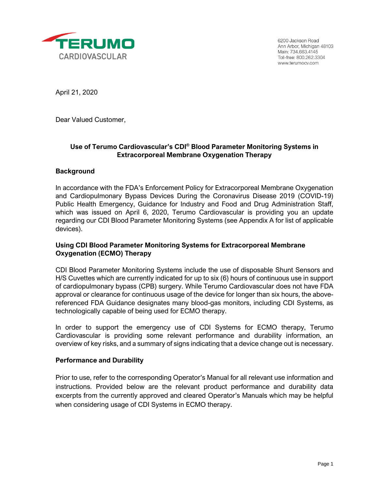

6200 Jackson Road Ann Arbor, Michigan 48103 Main: 734.663.4145 Toll-free: 800.262.3304 www.terumocv.com

April 21, 2020

Dear Valued Customer,

### **Use of Terumo Cardiovascular's CDI® Blood Parameter Monitoring Systems in Extracorporeal Membrane Oxygenation Therapy**

#### **Background**

In accordance with the FDA's Enforcement Policy for Extracorporeal Membrane Oxygenation and Cardiopulmonary Bypass Devices During the Coronavirus Disease 2019 (COVID-19) Public Health Emergency, Guidance for Industry and Food and Drug Administration Staff, which was issued on April 6, 2020, Terumo Cardiovascular is providing you an update regarding our CDI Blood Parameter Monitoring Systems (see Appendix A for list of applicable devices).

### **Using CDI Blood Parameter Monitoring Systems for Extracorporeal Membrane Oxygenation (ECMO) Therapy**

CDI Blood Parameter Monitoring Systems include the use of disposable Shunt Sensors and H/S Cuvettes which are currently indicated for up to six (6) hours of continuous use in support of cardiopulmonary bypass (CPB) surgery. While Terumo Cardiovascular does not have FDA approval or clearance for continuous usage of the device for longer than six hours, the abovereferenced FDA Guidance designates many blood-gas monitors, including CDI Systems, as technologically capable of being used for ECMO therapy.

In order to support the emergency use of CDI Systems for ECMO therapy, Terumo Cardiovascular is providing some relevant performance and durability information, an overview of key risks, and a summary of signs indicating that a device change out is necessary.

#### **Performance and Durability**

Prior to use, refer to the corresponding Operator's Manual for all relevant use information and instructions. Provided below are the relevant product performance and durability data excerpts from the currently approved and cleared Operator's Manuals which may be helpful when considering usage of CDI Systems in ECMO therapy.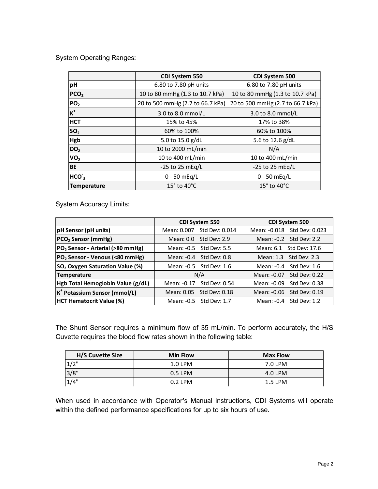System Operating Ranges:

|                  | <b>CDI System 550</b>            | <b>CDI System 500</b>            |
|------------------|----------------------------------|----------------------------------|
| pH               | 6.80 to 7.80 pH units            | 6.80 to 7.80 pH units            |
| PCO <sub>2</sub> | 10 to 80 mmHg (1.3 to 10.7 kPa)  | 10 to 80 mmHg (1.3 to 10.7 kPa)  |
| PO <sub>2</sub>  | 20 to 500 mmHg (2.7 to 66.7 kPa) | 20 to 500 mmHg (2.7 to 66.7 kPa) |
| $\mathbf{K}^+$   | 3.0 to 8.0 mmol/L                | $3.0$ to $8.0$ mmol/L            |
| <b>HCT</b>       | 15% to 45%                       | 17% to 38%                       |
| SO <sub>2</sub>  | 60% to 100%                      | 60% to 100%                      |
| Hgb              | 5.0 to 15.0 g/dL                 | 5.6 to 12.6 g/dL                 |
| DO <sub>2</sub>  | 10 to 2000 mL/min                | N/A                              |
| VO <sub>2</sub>  | 10 to 400 mL/min                 | 10 to 400 mL/min                 |
| <b>BE</b>        | $-25$ to 25 mEg/L                | $-25$ to 25 mEg/L                |
| HCO <sub>3</sub> | $0 - 50$ mEq/L                   | $0 - 50$ mEq/L                   |
| Temperature      | $15^\circ$ to $40^\circ$ C       | $15^\circ$ to $40^\circ$ C       |

System Accuracy Limits:

|                                                   | <b>CDI System 550</b> |                          | <b>CDI System 500</b> |                           |
|---------------------------------------------------|-----------------------|--------------------------|-----------------------|---------------------------|
| pH Sensor (pH units)                              | Mean: 0.007           | Std Dev: 0.014           | Mean: -0.018          | Std Dev: 0.023            |
| <b>PCO<sub>2</sub></b> Sensor (mmHg)              | Mean: 0.0             | Std Dev: 2.9             |                       | Mean: -0.2 Std Dev: 2.2   |
| PO <sub>2</sub> Sensor - Arterial (>80 mmHg)      | Mean: -0.5            | Std Dev: 5.5             |                       | Mean: 6.1 Std Dev: 17.6   |
| PO <sub>2</sub> Sensor - Venous (<80 mmHg)        |                       | Mean: -0.4 Std Dev: 0.8  |                       | Mean: 1.3 Std Dev: 2.3    |
| <b>SO<sub>2</sub> Oxygen Saturation Value (%)</b> |                       | Mean: -0.5 Std Dev: 1.6  |                       | Mean: -0.4 Std Dev: 1.6   |
| Temperature                                       |                       | N/A                      | Mean: -0.07           | Std Dev: 0.22             |
| Hgb Total Hemoglobin Value (g/dL)                 | Mean: -0.17           | Std Dev: 0.54            | Mean: -0.09           | Std Dev: 0.38             |
| $K^+$ Potassium Sensor (mmol/L)                   |                       | Mean: 0.05 Std Dev: 0.18 |                       | Mean: -0.06 Std Dev: 0.19 |
| <b>HCT Hematocrit Value (%)</b>                   |                       | Mean: -0.5 Std Dev: 1.7  |                       | Mean: -0.4 Std Dev: 1.2   |

The Shunt Sensor requires a minimum flow of 35 mL/min. To perform accurately, the H/S Cuvette requires the blood flow rates shown in the following table:

| <b>H/S Cuvette Size</b> | <b>Min Flow</b> | <b>Max Flow</b> |
|-------------------------|-----------------|-----------------|
| $1/2$ "                 | $1.0$ LPM       | 7.0 LPM         |
| 3/8"                    | 0.5 LPM         | 4.0 LPM         |
| 1/4"                    | $0.2$ LPM       | 1.5 LPM         |

When used in accordance with Operator's Manual instructions, CDI Systems will operate within the defined performance specifications for up to six hours of use.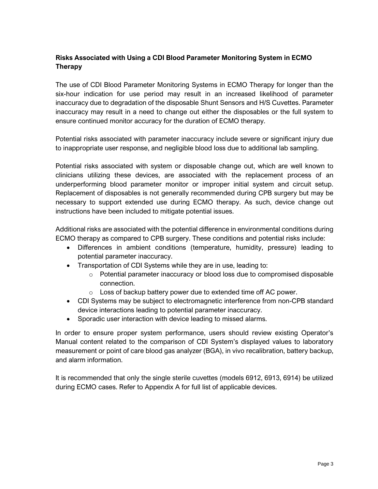## **Risks Associated with Using a CDI Blood Parameter Monitoring System in ECMO Therapy**

The use of CDI Blood Parameter Monitoring Systems in ECMO Therapy for longer than the six-hour indication for use period may result in an increased likelihood of parameter inaccuracy due to degradation of the disposable Shunt Sensors and H/S Cuvettes. Parameter inaccuracy may result in a need to change out either the disposables or the full system to ensure continued monitor accuracy for the duration of ECMO therapy.

Potential risks associated with parameter inaccuracy include severe or significant injury due to inappropriate user response, and negligible blood loss due to additional lab sampling.

Potential risks associated with system or disposable change out, which are well known to clinicians utilizing these devices, are associated with the replacement process of an underperforming blood parameter monitor or improper initial system and circuit setup. Replacement of disposables is not generally recommended during CPB surgery but may be necessary to support extended use during ECMO therapy. As such, device change out instructions have been included to mitigate potential issues.

Additional risks are associated with the potential difference in environmental conditions during ECMO therapy as compared to CPB surgery. These conditions and potential risks include:

- Differences in ambient conditions (temperature, humidity, pressure) leading to potential parameter inaccuracy.
- Transportation of CDI Systems while they are in use, leading to:
	- o Potential parameter inaccuracy or blood loss due to compromised disposable connection.
	- o Loss of backup battery power due to extended time off AC power.
- CDI Systems may be subject to electromagnetic interference from non-CPB standard device interactions leading to potential parameter inaccuracy.
- Sporadic user interaction with device leading to missed alarms.

In order to ensure proper system performance, users should review existing Operator's Manual content related to the comparison of CDI System's displayed values to laboratory measurement or point of care blood gas analyzer (BGA), in vivo recalibration, battery backup, and alarm information.

It is recommended that only the single sterile cuvettes (models 6912, 6913, 6914) be utilized during ECMO cases. Refer to Appendix A for full list of applicable devices.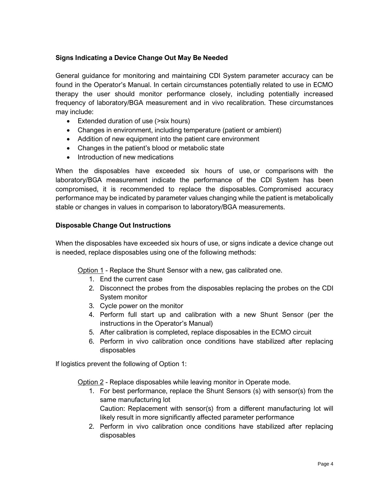## **Signs Indicating a Device Change Out May Be Needed**

General guidance for monitoring and maintaining CDI System parameter accuracy can be found in the Operator's Manual. In certain circumstances potentially related to use in ECMO therapy the user should monitor performance closely, including potentially increased frequency of laboratory/BGA measurement and in vivo recalibration. These circumstances may include:

- Extended duration of use (>six hours)
- Changes in environment, including temperature (patient or ambient)
- Addition of new equipment into the patient care environment
- Changes in the patient's blood or metabolic state
- Introduction of new medications

When the disposables have exceeded six hours of use, or comparisons with the laboratory/BGA measurement indicate the performance of the CDI System has been compromised, it is recommended to replace the disposables. Compromised accuracy performance may be indicated by parameter values changing while the patient is metabolically stable or changes in values in comparison to laboratory/BGA measurements.

### **Disposable Change Out Instructions**

When the disposables have exceeded six hours of use, or signs indicate a device change out is needed, replace disposables using one of the following methods:

Option 1 - Replace the Shunt Sensor with a new, gas calibrated one.

- 1. End the current case
- 2. Disconnect the probes from the disposables replacing the probes on the CDI System monitor
- 3. Cycle power on the monitor
- 4. Perform full start up and calibration with a new Shunt Sensor (per the instructions in the Operator's Manual)
- 5. After calibration is completed, replace disposables in the ECMO circuit
- 6. Perform in vivo calibration once conditions have stabilized after replacing disposables

If logistics prevent the following of Option 1:

Option 2 - Replace disposables while leaving monitor in Operate mode.

1. For best performance, replace the Shunt Sensors (s) with sensor(s) from the same manufacturing lot

Caution: Replacement with sensor(s) from a different manufacturing lot will likely result in more significantly affected parameter performance

2. Perform in vivo calibration once conditions have stabilized after replacing disposables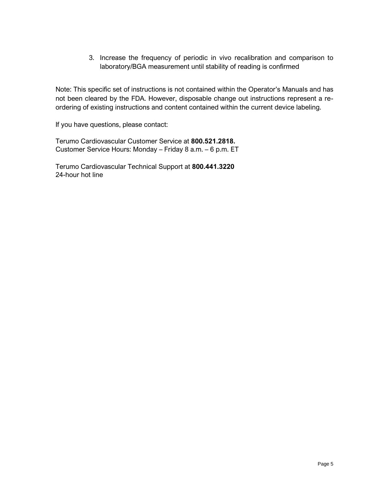3. Increase the frequency of periodic in vivo recalibration and comparison to laboratory/BGA measurement until stability of reading is confirmed

Note: This specific set of instructions is not contained within the Operator's Manuals and has not been cleared by the FDA. However, disposable change out instructions represent a reordering of existing instructions and content contained within the current device labeling.

If you have questions, please contact:

Terumo Cardiovascular Customer Service at **800.521.2818.** Customer Service Hours: Monday – Friday 8 a.m. – 6 p.m. ET

Terumo Cardiovascular Technical Support at **800.441.3220** 24-hour hot line